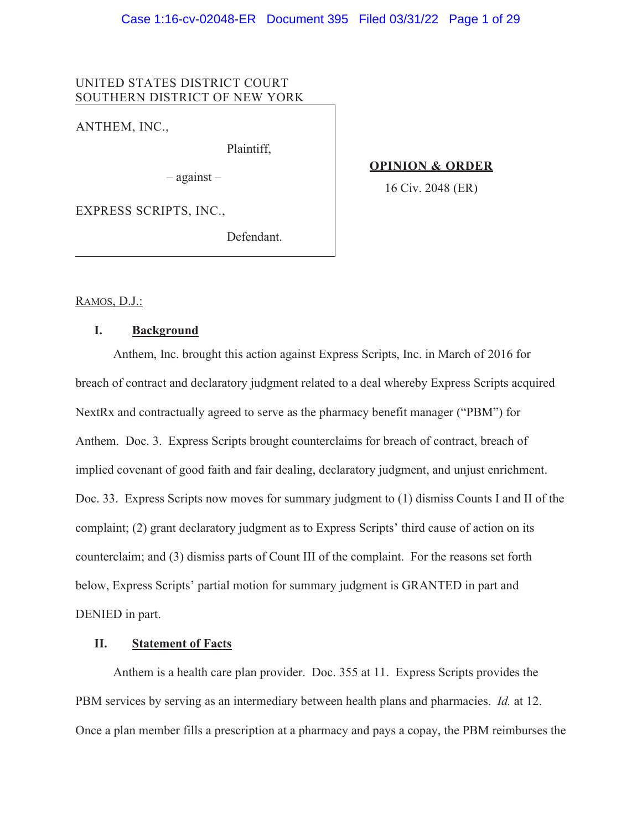## UNITED STATES DISTRICT COURT SOUTHERN DISTRICT OF NEW YORK

ANTHEM, INC.,

Plaintiff,

– against –

EXPRESS SCRIPTS, INC.,

Defendant.

**OPINION & ORDER** 

16 Civ. 2048 (ER)

RAMOS, D.J.:

## **I. Background**

Anthem, Inc. brought this action against Express Scripts, Inc. in March of 2016 for breach of contract and declaratory judgment related to a deal whereby Express Scripts acquired NextRx and contractually agreed to serve as the pharmacy benefit manager ("PBM") for Anthem. Doc. 3. Express Scripts brought counterclaims for breach of contract, breach of implied covenant of good faith and fair dealing, declaratory judgment, and unjust enrichment. Doc. 33. Express Scripts now moves for summary judgment to (1) dismiss Counts I and II of the complaint; (2) grant declaratory judgment as to Express Scripts' third cause of action on its counterclaim; and (3) dismiss parts of Count III of the complaint. For the reasons set forth below, Express Scripts' partial motion for summary judgment is GRANTED in part and DENIED in part.

## **II. Statement of Facts**

Anthem is a health care plan provider. Doc. 355 at 11. Express Scripts provides the PBM services by serving as an intermediary between health plans and pharmacies. *Id.* at 12. Once a plan member fills a prescription at a pharmacy and pays a copay, the PBM reimburses the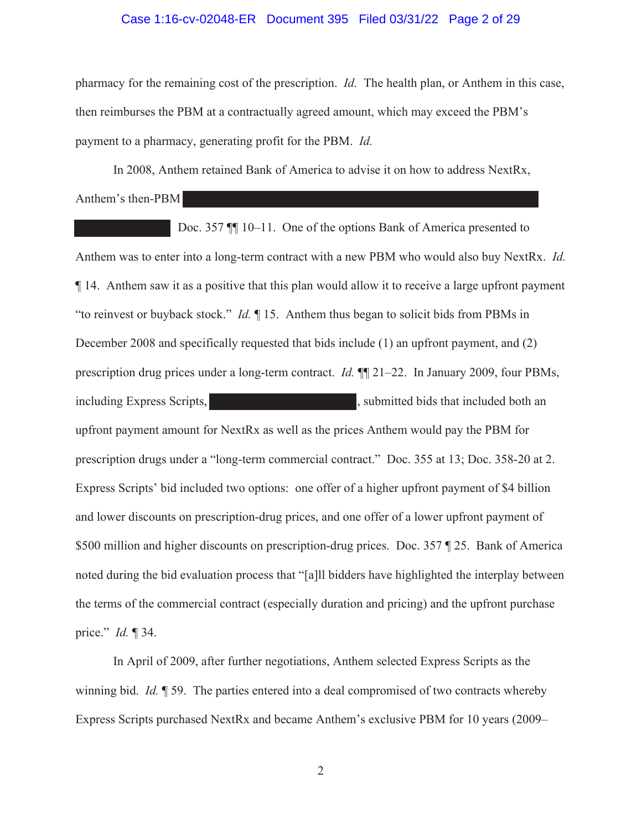#### Case 1:16-cv-02048-ER Document 395 Filed 03/31/22 Page 2 of 29

pharmacy for the remaining cost of the prescription. *Id.* The health plan, or Anthem in this case, then reimburses the PBM at a contractually agreed amount, which may exceed the PBM's payment to a pharmacy, generating profit for the PBM. *Id.*

In 2008, Anthem retained Bank of America to advise it on how to address NextRx, Anthem's then-PBM

 Doc. 357 ¶¶ 10–11. One of the options Bank of America presented to Anthem was to enter into a long-term contract with a new PBM who would also buy NextRx. *Id.* ¶ 14. Anthem saw it as a positive that this plan would allow it to receive a large upfront payment "to reinvest or buyback stock." *Id.* ¶ 15. Anthem thus began to solicit bids from PBMs in December 2008 and specifically requested that bids include (1) an upfront payment, and (2) prescription drug prices under a long-term contract. *Id.* ¶¶ 21–22. In January 2009, four PBMs, including Express Scripts,  $\blacksquare$ , submitted bids that included both an upfront payment amount for NextRx as well as the prices Anthem would pay the PBM for prescription drugs under a "long-term commercial contract." Doc. 355 at 13; Doc. 358-20 at 2. Express Scripts' bid included two options: one offer of a higher upfront payment of \$4 billion and lower discounts on prescription-drug prices, and one offer of a lower upfront payment of \$500 million and higher discounts on prescription-drug prices. Doc. 357 ¶ 25. Bank of America noted during the bid evaluation process that "[a]ll bidders have highlighted the interplay between the terms of the commercial contract (especially duration and pricing) and the upfront purchase price." *Id.* ¶ 34.

In April of 2009, after further negotiations, Anthem selected Express Scripts as the winning bid. *Id.* ¶ 59. The parties entered into a deal compromised of two contracts whereby Express Scripts purchased NextRx and became Anthem's exclusive PBM for 10 years (2009–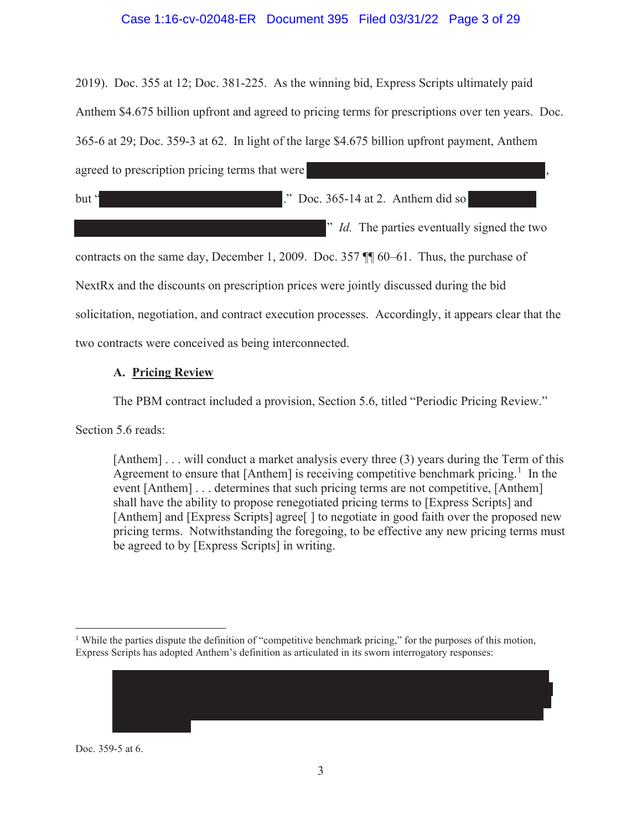## Case 1:16-cv-02048-ER Document 395 Filed 03/31/22 Page 3 of 29

2019). Doc. 355 at 12; Doc. 381-225. As the winning bid, Express Scripts ultimately paid Anthem \$4.675 billion upfront and agreed to pricing terms for prescriptions over ten years. Doc. 365-6 at 29; Doc. 359-3 at 62. In light of the large \$4.675 billion upfront payment, Anthem agreed to prescription pricing terms that were but " ." Doc. 365-14 at 2. Anthem did so " *Id.* The parties eventually signed the two

contracts on the same day, December 1, 2009. Doc. 357 ¶¶ 60–61. Thus, the purchase of NextRx and the discounts on prescription prices were jointly discussed during the bid solicitation, negotiation, and contract execution processes. Accordingly, it appears clear that the two contracts were conceived as being interconnected.

## **A. Pricing Review**

The PBM contract included a provision, Section 5.6, titled "Periodic Pricing Review."

Section 5.6 reads:

[Anthem] . . . will conduct a market analysis every three (3) years during the Term of this Agreement to ensure that [Anthem] is receiving competitive benchmark pricing.<sup>1</sup> In the event [Anthem] . . . determines that such pricing terms are not competitive, [Anthem] shall have the ability to propose renegotiated pricing terms to [Express Scripts] and [Anthem] and [Express Scripts] agree<sup>[]</sup> to negotiate in good faith over the proposed new pricing terms. Notwithstanding the foregoing, to be effective any new pricing terms must be agreed to by [Express Scripts] in writing.

<sup>&</sup>lt;sup>1</sup> While the parties dispute the definition of "competitive benchmark pricing," for the purposes of this motion, Express Scripts has adopted Anthem's definition as articulated in its sworn interrogatory responses:



Doc. 359-5 at 6.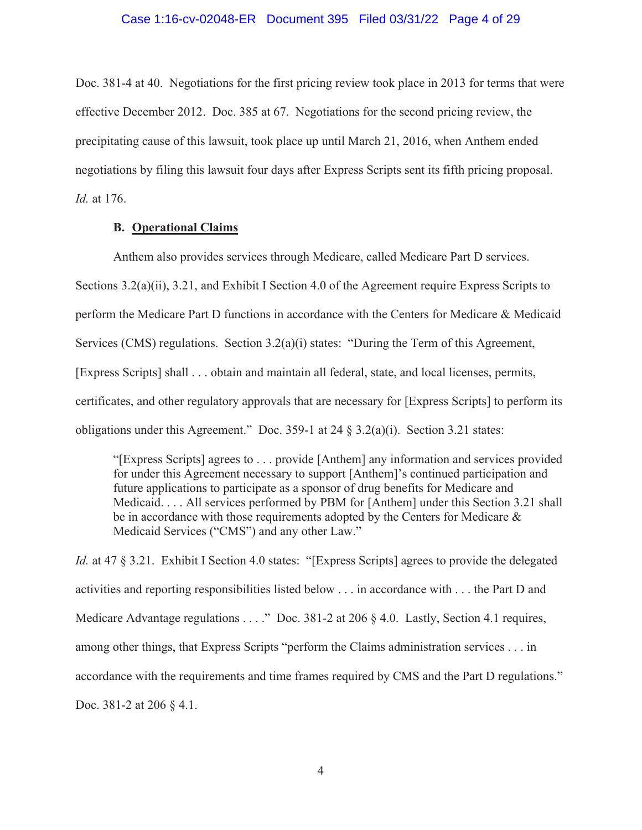#### Case 1:16-cv-02048-ER Document 395 Filed 03/31/22 Page 4 of 29

Doc. 381-4 at 40. Negotiations for the first pricing review took place in 2013 for terms that were effective December 2012. Doc. 385 at 67. Negotiations for the second pricing review, the precipitating cause of this lawsuit, took place up until March 21, 2016, when Anthem ended negotiations by filing this lawsuit four days after Express Scripts sent its fifth pricing proposal. *Id.* at 176.

### **B. Operational Claims**

Anthem also provides services through Medicare, called Medicare Part D services. Sections 3.2(a)(ii), 3.21, and Exhibit I Section 4.0 of the Agreement require Express Scripts to perform the Medicare Part D functions in accordance with the Centers for Medicare & Medicaid Services (CMS) regulations. Section 3.2(a)(i) states: "During the Term of this Agreement, [Express Scripts] shall . . . obtain and maintain all federal, state, and local licenses, permits, certificates, and other regulatory approvals that are necessary for [Express Scripts] to perform its obligations under this Agreement." Doc. 359-1 at 24 § 3.2(a)(i). Section 3.21 states:

"[Express Scripts] agrees to . . . provide [Anthem] any information and services provided for under this Agreement necessary to support [Anthem]'s continued participation and future applications to participate as a sponsor of drug benefits for Medicare and Medicaid. . . . All services performed by PBM for [Anthem] under this Section 3.21 shall be in accordance with those requirements adopted by the Centers for Medicare & Medicaid Services ("CMS") and any other Law."

*Id.* at 47 § 3.21. Exhibit I Section 4.0 states: "[Express Scripts] agrees to provide the delegated activities and reporting responsibilities listed below . . . in accordance with . . . the Part D and Medicare Advantage regulations . . . ." Doc. 381-2 at 206 § 4.0. Lastly, Section 4.1 requires, among other things, that Express Scripts "perform the Claims administration services . . . in accordance with the requirements and time frames required by CMS and the Part D regulations." Doc. 381-2 at 206 § 4.1.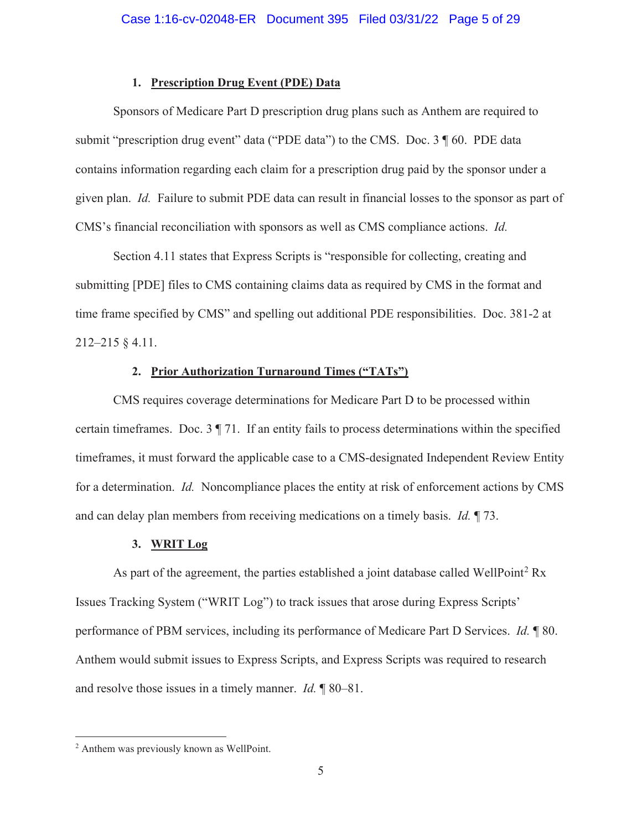### **1. Prescription Drug Event (PDE) Data**

Sponsors of Medicare Part D prescription drug plans such as Anthem are required to submit "prescription drug event" data ("PDE data") to the CMS. Doc. 3 ¶ 60. PDE data contains information regarding each claim for a prescription drug paid by the sponsor under a given plan. *Id.* Failure to submit PDE data can result in financial losses to the sponsor as part of CMS's financial reconciliation with sponsors as well as CMS compliance actions. *Id.*

Section 4.11 states that Express Scripts is "responsible for collecting, creating and submitting [PDE] files to CMS containing claims data as required by CMS in the format and time frame specified by CMS" and spelling out additional PDE responsibilities. Doc. 381-2 at 212–215 § 4.11.

## **2. Prior Authorization Turnaround Times ("TATs")**

CMS requires coverage determinations for Medicare Part D to be processed within certain timeframes. Doc. 3 ¶ 71. If an entity fails to process determinations within the specified timeframes, it must forward the applicable case to a CMS-designated Independent Review Entity for a determination. *Id.* Noncompliance places the entity at risk of enforcement actions by CMS and can delay plan members from receiving medications on a timely basis. *Id.* ¶ 73.

### **3. WRIT Log**

As part of the agreement, the parties established a joint database called WellPoint<sup>2</sup> Rx Issues Tracking System ("WRIT Log") to track issues that arose during Express Scripts' performance of PBM services, including its performance of Medicare Part D Services. *Id.* ¶ 80. Anthem would submit issues to Express Scripts, and Express Scripts was required to research and resolve those issues in a timely manner. *Id.* ¶ 80–81.

<sup>2</sup> Anthem was previously known as WellPoint.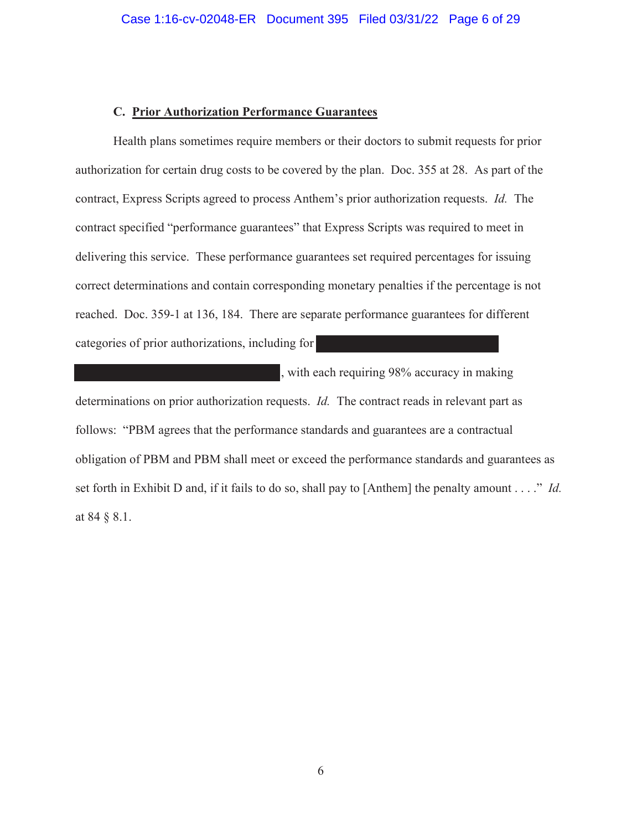#### **C. Prior Authorization Performance Guarantees**

Health plans sometimes require members or their doctors to submit requests for prior authorization for certain drug costs to be covered by the plan. Doc. 355 at 28. As part of the contract, Express Scripts agreed to process Anthem's prior authorization requests. *Id.* The contract specified "performance guarantees" that Express Scripts was required to meet in delivering this service. These performance guarantees set required percentages for issuing correct determinations and contain corresponding monetary penalties if the percentage is not reached. Doc. 359-1 at 136, 184. There are separate performance guarantees for different categories of prior authorizations, including for

, with each requiring 98% accuracy in making determinations on prior authorization requests. *Id.* The contract reads in relevant part as follows: "PBM agrees that the performance standards and guarantees are a contractual obligation of PBM and PBM shall meet or exceed the performance standards and guarantees as set forth in Exhibit D and, if it fails to do so, shall pay to [Anthem] the penalty amount . . . ." *Id.* at 84 § 8.1.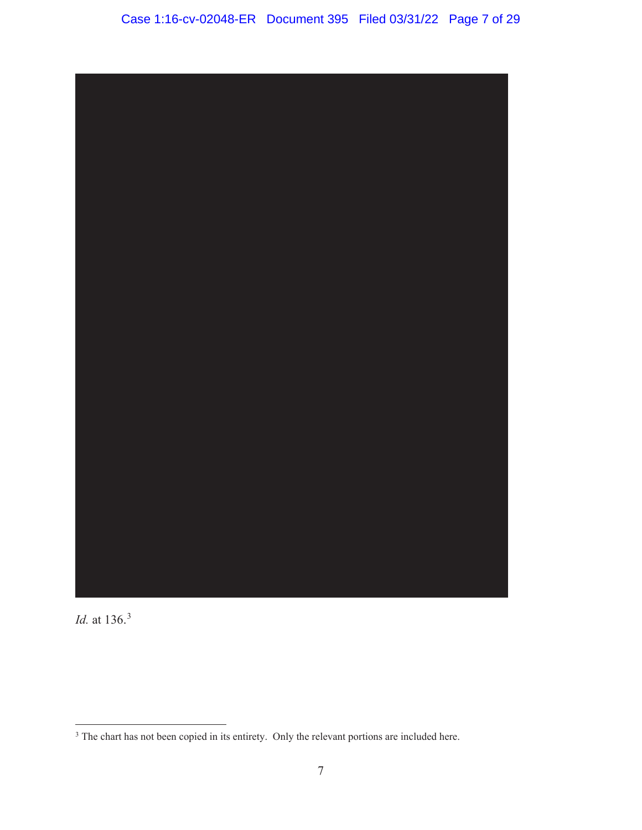



 $3$  The chart has not been copied in its entirety. Only the relevant portions are included here.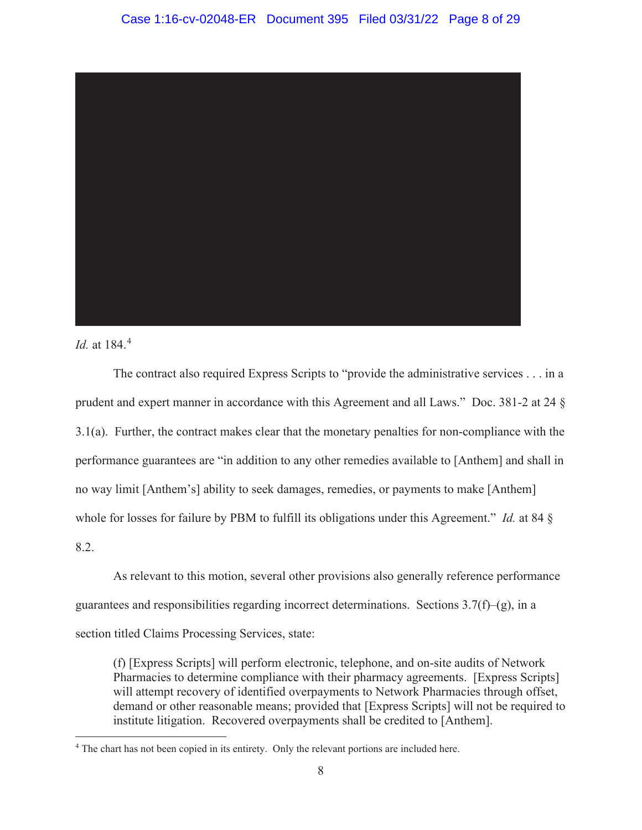

*Id.* at 184.<sup>4</sup>

 The contract also required Express Scripts to "provide the administrative services . . . in a prudent and expert manner in accordance with this Agreement and all Laws." Doc. 381-2 at 24 § 3.1(a). Further, the contract makes clear that the monetary penalties for non-compliance with the performance guarantees are "in addition to any other remedies available to [Anthem] and shall in no way limit [Anthem's] ability to seek damages, remedies, or payments to make [Anthem] whole for losses for failure by PBM to fulfill its obligations under this Agreement." *Id.* at 84 § 8.2.

 As relevant to this motion, several other provisions also generally reference performance guarantees and responsibilities regarding incorrect determinations. Sections  $3.7(f)$ –(g), in a section titled Claims Processing Services, state:

(f) [Express Scripts] will perform electronic, telephone, and on-site audits of Network Pharmacies to determine compliance with their pharmacy agreements. [Express Scripts] will attempt recovery of identified overpayments to Network Pharmacies through offset, demand or other reasonable means; provided that [Express Scripts] will not be required to institute litigation. Recovered overpayments shall be credited to [Anthem].

<sup>&</sup>lt;sup>4</sup> The chart has not been copied in its entirety. Only the relevant portions are included here.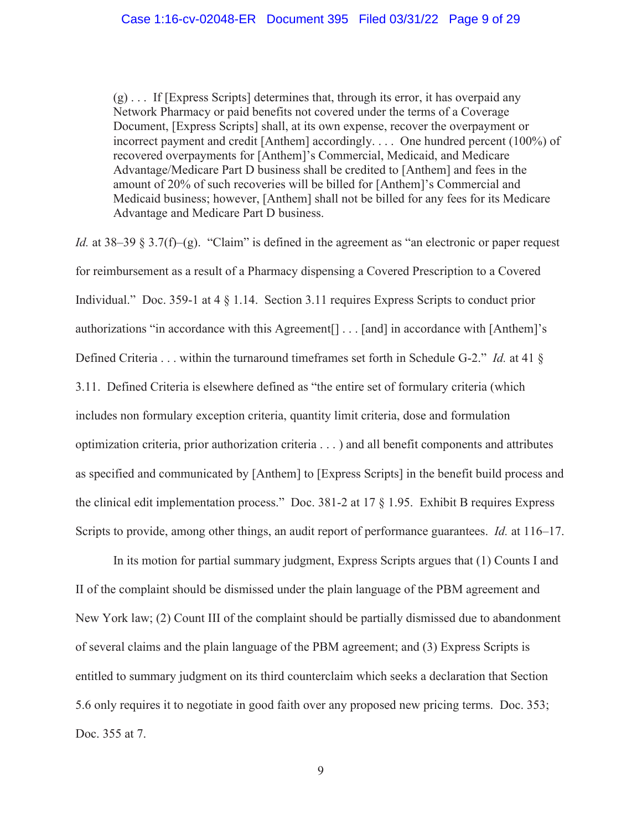(g) . . . If [Express Scripts] determines that, through its error, it has overpaid any Network Pharmacy or paid benefits not covered under the terms of a Coverage Document, [Express Scripts] shall, at its own expense, recover the overpayment or incorrect payment and credit [Anthem] accordingly. . . . One hundred percent (100%) of recovered overpayments for [Anthem]'s Commercial, Medicaid, and Medicare Advantage/Medicare Part D business shall be credited to [Anthem] and fees in the amount of 20% of such recoveries will be billed for [Anthem]'s Commercial and Medicaid business; however, [Anthem] shall not be billed for any fees for its Medicare Advantage and Medicare Part D business.

*Id.* at  $38-39 \t S \t 3.7(f)-(g)$ . "Claim" is defined in the agreement as "an electronic or paper request for reimbursement as a result of a Pharmacy dispensing a Covered Prescription to a Covered Individual." Doc. 359-1 at 4 § 1.14. Section 3.11 requires Express Scripts to conduct prior authorizations "in accordance with this Agreement[] . . . [and] in accordance with [Anthem]'s Defined Criteria . . . within the turnaround timeframes set forth in Schedule G-2." *Id.* at 41 § 3.11. Defined Criteria is elsewhere defined as "the entire set of formulary criteria (which includes non formulary exception criteria, quantity limit criteria, dose and formulation optimization criteria, prior authorization criteria . . . ) and all benefit components and attributes as specified and communicated by [Anthem] to [Express Scripts] in the benefit build process and the clinical edit implementation process." Doc. 381-2 at 17 § 1.95. Exhibit B requires Express Scripts to provide, among other things, an audit report of performance guarantees. *Id.* at 116–17.

 In its motion for partial summary judgment, Express Scripts argues that (1) Counts I and II of the complaint should be dismissed under the plain language of the PBM agreement and New York law; (2) Count III of the complaint should be partially dismissed due to abandonment of several claims and the plain language of the PBM agreement; and (3) Express Scripts is entitled to summary judgment on its third counterclaim which seeks a declaration that Section 5.6 only requires it to negotiate in good faith over any proposed new pricing terms. Doc. 353; Doc. 355 at 7.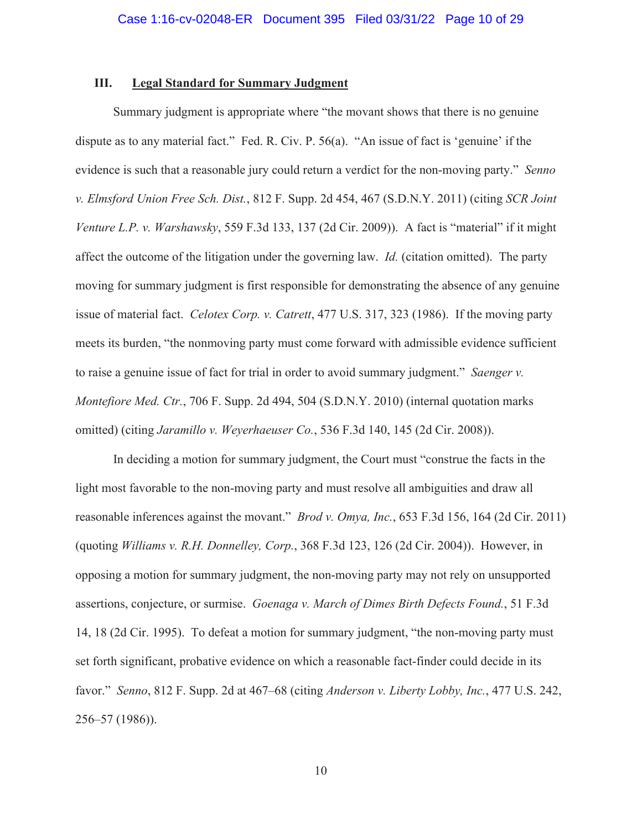#### **III. Legal Standard for Summary Judgment**

Summary judgment is appropriate where "the movant shows that there is no genuine dispute as to any material fact." Fed. R. Civ. P. 56(a). "An issue of fact is 'genuine' if the evidence is such that a reasonable jury could return a verdict for the non-moving party." *Senno v. Elmsford Union Free Sch. Dist.*, 812 F. Supp. 2d 454, 467 (S.D.N.Y. 2011) (citing *SCR Joint Venture L.P. v. Warshawsky*, 559 F.3d 133, 137 (2d Cir. 2009)). A fact is "material" if it might affect the outcome of the litigation under the governing law. *Id.* (citation omitted). The party moving for summary judgment is first responsible for demonstrating the absence of any genuine issue of material fact. *Celotex Corp. v. Catrett*, 477 U.S. 317, 323 (1986). If the moving party meets its burden, "the nonmoving party must come forward with admissible evidence sufficient to raise a genuine issue of fact for trial in order to avoid summary judgment." *Saenger v. Montefiore Med. Ctr.*, 706 F. Supp. 2d 494, 504 (S.D.N.Y. 2010) (internal quotation marks omitted) (citing *Jaramillo v. Weyerhaeuser Co.*, 536 F.3d 140, 145 (2d Cir. 2008)).

In deciding a motion for summary judgment, the Court must "construe the facts in the light most favorable to the non-moving party and must resolve all ambiguities and draw all reasonable inferences against the movant." *Brod v. Omya, Inc.*, 653 F.3d 156, 164 (2d Cir. 2011) (quoting *Williams v. R.H. Donnelley, Corp.*, 368 F.3d 123, 126 (2d Cir. 2004)). However, in opposing a motion for summary judgment, the non-moving party may not rely on unsupported assertions, conjecture, or surmise. *Goenaga v. March of Dimes Birth Defects Found.*, 51 F.3d 14, 18 (2d Cir. 1995). To defeat a motion for summary judgment, "the non-moving party must set forth significant, probative evidence on which a reasonable fact-finder could decide in its favor." *Senno*, 812 F. Supp. 2d at 467–68 (citing *Anderson v. Liberty Lobby, Inc.*, 477 U.S. 242, 256–57 (1986)).

10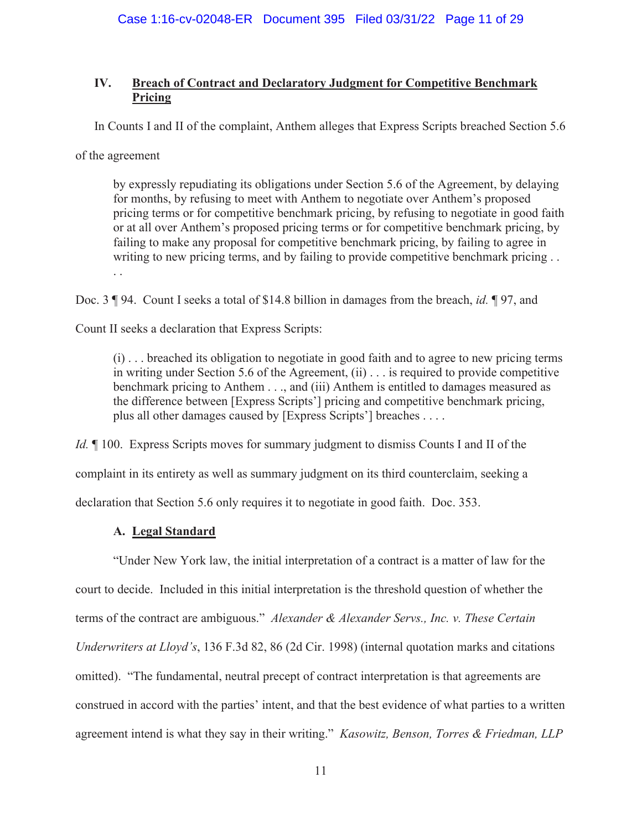# **IV. Breach of Contract and Declaratory Judgment for Competitive Benchmark Pricing**

In Counts I and II of the complaint, Anthem alleges that Express Scripts breached Section 5.6

of the agreement

by expressly repudiating its obligations under Section 5.6 of the Agreement, by delaying for months, by refusing to meet with Anthem to negotiate over Anthem's proposed pricing terms or for competitive benchmark pricing, by refusing to negotiate in good faith or at all over Anthem's proposed pricing terms or for competitive benchmark pricing, by failing to make any proposal for competitive benchmark pricing, by failing to agree in writing to new pricing terms, and by failing to provide competitive benchmark pricing . . . .

Doc. 3 ¶ 94. Count I seeks a total of \$14.8 billion in damages from the breach, *id.* ¶ 97, and

Count II seeks a declaration that Express Scripts:

(i) . . . breached its obligation to negotiate in good faith and to agree to new pricing terms in writing under Section 5.6 of the Agreement,  $(ii)$ ... is required to provide competitive benchmark pricing to Anthem . . ., and (iii) Anthem is entitled to damages measured as the difference between [Express Scripts'] pricing and competitive benchmark pricing, plus all other damages caused by [Express Scripts'] breaches . . . .

*Id.*  $\parallel$  100. Express Scripts moves for summary judgment to dismiss Counts I and II of the complaint in its entirety as well as summary judgment on its third counterclaim, seeking a declaration that Section 5.6 only requires it to negotiate in good faith. Doc. 353.

## **A. Legal Standard**

"Under New York law, the initial interpretation of a contract is a matter of law for the court to decide. Included in this initial interpretation is the threshold question of whether the terms of the contract are ambiguous." *Alexander & Alexander Servs., Inc. v. These Certain Underwriters at Lloyd's*, 136 F.3d 82, 86 (2d Cir. 1998) (internal quotation marks and citations omitted). "The fundamental, neutral precept of contract interpretation is that agreements are construed in accord with the parties' intent, and that the best evidence of what parties to a written agreement intend is what they say in their writing." *Kasowitz, Benson, Torres & Friedman, LLP*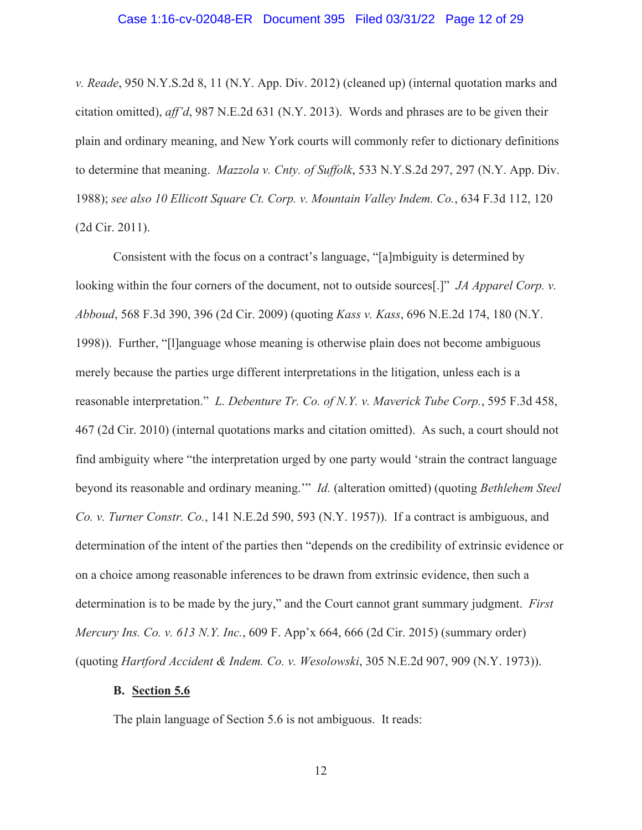#### Case 1:16-cv-02048-ER Document 395 Filed 03/31/22 Page 12 of 29

*v. Reade*, 950 N.Y.S.2d 8, 11 (N.Y. App. Div. 2012) (cleaned up) (internal quotation marks and citation omitted), *aff'd*, 987 N.E.2d 631 (N.Y. 2013). Words and phrases are to be given their plain and ordinary meaning, and New York courts will commonly refer to dictionary definitions to determine that meaning. *Mazzola v. Cnty. of Suffolk*, 533 N.Y.S.2d 297, 297 (N.Y. App. Div. 1988); *see also 10 Ellicott Square Ct. Corp. v. Mountain Valley Indem. Co.*, 634 F.3d 112, 120 (2d Cir. 2011).

Consistent with the focus on a contract's language, "[a]mbiguity is determined by looking within the four corners of the document, not to outside sources[.]" *JA Apparel Corp. v. Abboud*, 568 F.3d 390, 396 (2d Cir. 2009) (quoting *Kass v. Kass*, 696 N.E.2d 174, 180 (N.Y. 1998)). Further, "[l]anguage whose meaning is otherwise plain does not become ambiguous merely because the parties urge different interpretations in the litigation, unless each is a reasonable interpretation." *L. Debenture Tr. Co. of N.Y. v. Maverick Tube Corp.*, 595 F.3d 458, 467 (2d Cir. 2010) (internal quotations marks and citation omitted). As such, a court should not find ambiguity where "the interpretation urged by one party would 'strain the contract language beyond its reasonable and ordinary meaning.'" *Id.* (alteration omitted) (quoting *Bethlehem Steel Co. v. Turner Constr. Co.*, 141 N.E.2d 590, 593 (N.Y. 1957)). If a contract is ambiguous, and determination of the intent of the parties then "depends on the credibility of extrinsic evidence or on a choice among reasonable inferences to be drawn from extrinsic evidence, then such a determination is to be made by the jury," and the Court cannot grant summary judgment. *First Mercury Ins. Co. v. 613 N.Y. Inc.*, 609 F. App'x 664, 666 (2d Cir. 2015) (summary order) (quoting *Hartford Accident & Indem. Co. v. Wesolowski*, 305 N.E.2d 907, 909 (N.Y. 1973)).

### **B. Section 5.6**

The plain language of Section 5.6 is not ambiguous. It reads: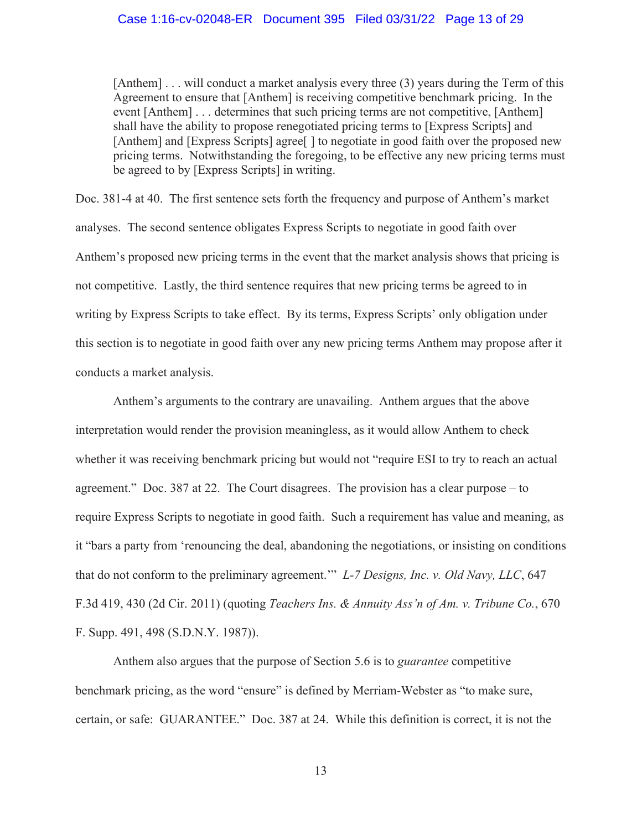### Case 1:16-cv-02048-ER Document 395 Filed 03/31/22 Page 13 of 29

[Anthem] . . . will conduct a market analysis every three (3) years during the Term of this Agreement to ensure that [Anthem] is receiving competitive benchmark pricing. In the event [Anthem] . . . determines that such pricing terms are not competitive, [Anthem] shall have the ability to propose renegotiated pricing terms to [Express Scripts] and [Anthem] and [Express Scripts] agree<sup>[]</sup> to negotiate in good faith over the proposed new pricing terms. Notwithstanding the foregoing, to be effective any new pricing terms must be agreed to by [Express Scripts] in writing.

Doc. 381-4 at 40. The first sentence sets forth the frequency and purpose of Anthem's market analyses. The second sentence obligates Express Scripts to negotiate in good faith over Anthem's proposed new pricing terms in the event that the market analysis shows that pricing is not competitive. Lastly, the third sentence requires that new pricing terms be agreed to in writing by Express Scripts to take effect. By its terms, Express Scripts' only obligation under this section is to negotiate in good faith over any new pricing terms Anthem may propose after it conducts a market analysis.

 Anthem's arguments to the contrary are unavailing. Anthem argues that the above interpretation would render the provision meaningless, as it would allow Anthem to check whether it was receiving benchmark pricing but would not "require ESI to try to reach an actual agreement." Doc. 387 at 22. The Court disagrees. The provision has a clear purpose – to require Express Scripts to negotiate in good faith. Such a requirement has value and meaning, as it "bars a party from 'renouncing the deal, abandoning the negotiations, or insisting on conditions that do not conform to the preliminary agreement.'" *L-7 Designs, Inc. v. Old Navy, LLC*, 647 F.3d 419, 430 (2d Cir. 2011) (quoting *Teachers Ins. & Annuity Ass'n of Am. v. Tribune Co.*, 670 F. Supp. 491, 498 (S.D.N.Y. 1987)).

 Anthem also argues that the purpose of Section 5.6 is to *guarantee* competitive benchmark pricing, as the word "ensure" is defined by Merriam-Webster as "to make sure, certain, or safe: GUARANTEE." Doc. 387 at 24. While this definition is correct, it is not the

13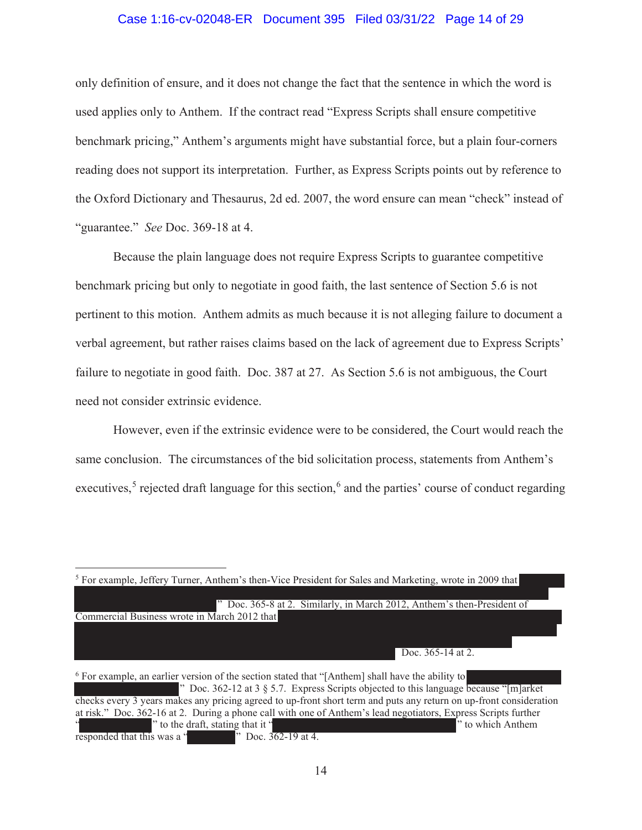### Case 1:16-cv-02048-ER Document 395 Filed 03/31/22 Page 14 of 29

only definition of ensure, and it does not change the fact that the sentence in which the word is used applies only to Anthem. If the contract read "Express Scripts shall ensure competitive benchmark pricing," Anthem's arguments might have substantial force, but a plain four-corners reading does not support its interpretation. Further, as Express Scripts points out by reference to the Oxford Dictionary and Thesaurus, 2d ed. 2007, the word ensure can mean "check" instead of "guarantee." *See* Doc. 369-18 at 4.

 Because the plain language does not require Express Scripts to guarantee competitive benchmark pricing but only to negotiate in good faith, the last sentence of Section 5.6 is not pertinent to this motion. Anthem admits as much because it is not alleging failure to document a verbal agreement, but rather raises claims based on the lack of agreement due to Express Scripts' failure to negotiate in good faith. Doc. 387 at 27. As Section 5.6 is not ambiguous, the Court need not consider extrinsic evidence.

 However, even if the extrinsic evidence were to be considered, the Court would reach the same conclusion. The circumstances of the bid solicitation process, statements from Anthem's executives,<sup>5</sup> rejected draft language for this section,<sup>6</sup> and the parties' course of conduct regarding



<sup>6</sup> For example, an earlier version of the section stated that "[Anthem] shall have the ability to " Doc. 362-12 at 3 § 5.7. Express Scripts objected to this language because "[m]arket checks every 3 years makes any pricing agreed to up-front short term and puts any return on up-front consideration at risk." Doc. 362-16 at 2. During a phone call with one of Anthem's lead negotiators, Express Scripts further " to the draft, stating that it " " " to which Anthem" " to which Anthem responded that this was a " Doc. 362-19 at 4.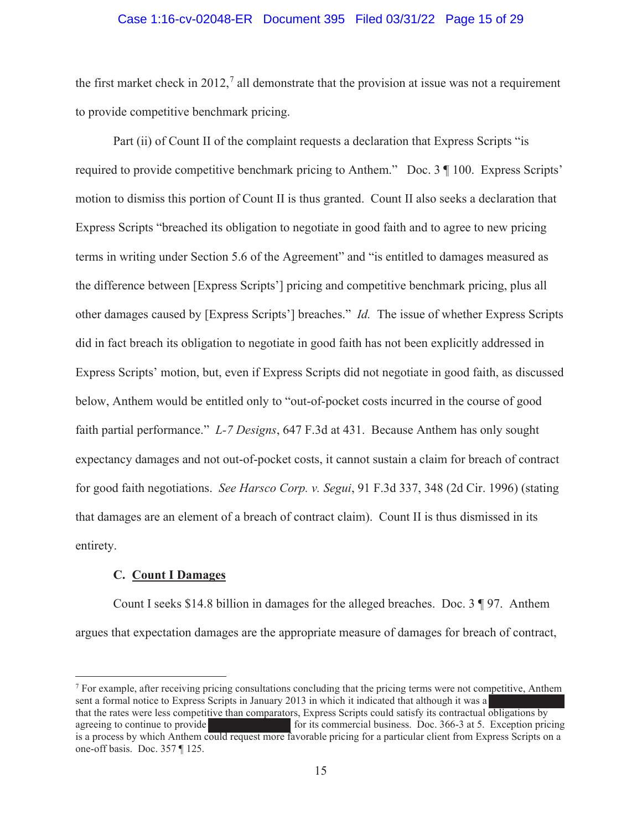#### Case 1:16-cv-02048-ER Document 395 Filed 03/31/22 Page 15 of 29

the first market check in 2012,<sup>7</sup> all demonstrate that the provision at issue was not a requirement to provide competitive benchmark pricing.

 Part (ii) of Count II of the complaint requests a declaration that Express Scripts "is required to provide competitive benchmark pricing to Anthem." Doc. 3 ¶ 100. Express Scripts' motion to dismiss this portion of Count II is thus granted. Count II also seeks a declaration that Express Scripts "breached its obligation to negotiate in good faith and to agree to new pricing terms in writing under Section 5.6 of the Agreement" and "is entitled to damages measured as the difference between [Express Scripts'] pricing and competitive benchmark pricing, plus all other damages caused by [Express Scripts'] breaches." *Id.* The issue of whether Express Scripts did in fact breach its obligation to negotiate in good faith has not been explicitly addressed in Express Scripts' motion, but, even if Express Scripts did not negotiate in good faith, as discussed below, Anthem would be entitled only to "out-of-pocket costs incurred in the course of good faith partial performance." *L-7 Designs*, 647 F.3d at 431. Because Anthem has only sought expectancy damages and not out-of-pocket costs, it cannot sustain a claim for breach of contract for good faith negotiations. *See Harsco Corp. v. Segui*, 91 F.3d 337, 348 (2d Cir. 1996) (stating that damages are an element of a breach of contract claim). Count II is thus dismissed in its entirety.

#### **C. Count I Damages**

Count I seeks \$14.8 billion in damages for the alleged breaches. Doc. 3 ¶ 97. Anthem argues that expectation damages are the appropriate measure of damages for breach of contract,

 $7$  For example, after receiving pricing consultations concluding that the pricing terms were not competitive, Anthem sent a formal notice to Express Scripts in January 2013 in which it indicated that although it was a that the rates were less competitive than comparators, Express Scripts could satisfy its contractual obligations by agreeing to continue to provide for its commercial business. Doc. 366-3 at 5. Exception pricing is a process by which Anthem could request more favorable pricing for a particular client from Express Scripts on a one-off basis. Doc. 357 ¶ 125.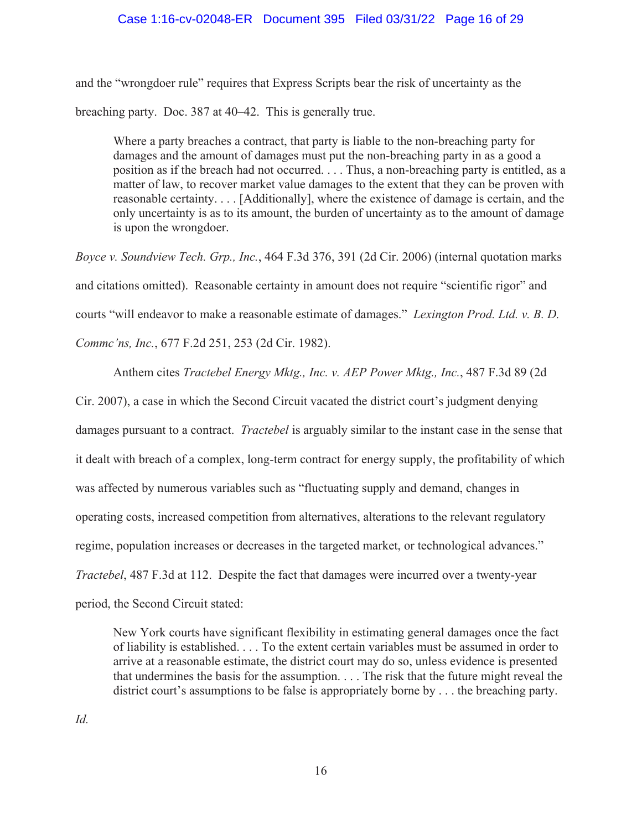## Case 1:16-cv-02048-ER Document 395 Filed 03/31/22 Page 16 of 29

and the "wrongdoer rule" requires that Express Scripts bear the risk of uncertainty as the

breaching party. Doc. 387 at 40–42. This is generally true.

Where a party breaches a contract, that party is liable to the non-breaching party for damages and the amount of damages must put the non-breaching party in as a good a position as if the breach had not occurred. . . . Thus, a non-breaching party is entitled, as a matter of law, to recover market value damages to the extent that they can be proven with reasonable certainty. . . . [Additionally], where the existence of damage is certain, and the only uncertainty is as to its amount, the burden of uncertainty as to the amount of damage is upon the wrongdoer.

*Boyce v. Soundview Tech. Grp., Inc.*, 464 F.3d 376, 391 (2d Cir. 2006) (internal quotation marks and citations omitted). Reasonable certainty in amount does not require "scientific rigor" and courts "will endeavor to make a reasonable estimate of damages." *Lexington Prod. Ltd. v. B. D.* 

*Commc'ns, Inc.*, 677 F.2d 251, 253 (2d Cir. 1982).

Anthem cites *Tractebel Energy Mktg., Inc. v. AEP Power Mktg., Inc.*, 487 F.3d 89 (2d

Cir. 2007), a case in which the Second Circuit vacated the district court's judgment denying damages pursuant to a contract. *Tractebel* is arguably similar to the instant case in the sense that it dealt with breach of a complex, long-term contract for energy supply, the profitability of which was affected by numerous variables such as "fluctuating supply and demand, changes in operating costs, increased competition from alternatives, alterations to the relevant regulatory regime, population increases or decreases in the targeted market, or technological advances." *Tractebel*, 487 F.3d at 112. Despite the fact that damages were incurred over a twenty-year period, the Second Circuit stated:

New York courts have significant flexibility in estimating general damages once the fact of liability is established. . . . To the extent certain variables must be assumed in order to arrive at a reasonable estimate, the district court may do so, unless evidence is presented that undermines the basis for the assumption. . . . The risk that the future might reveal the district court's assumptions to be false is appropriately borne by . . . the breaching party.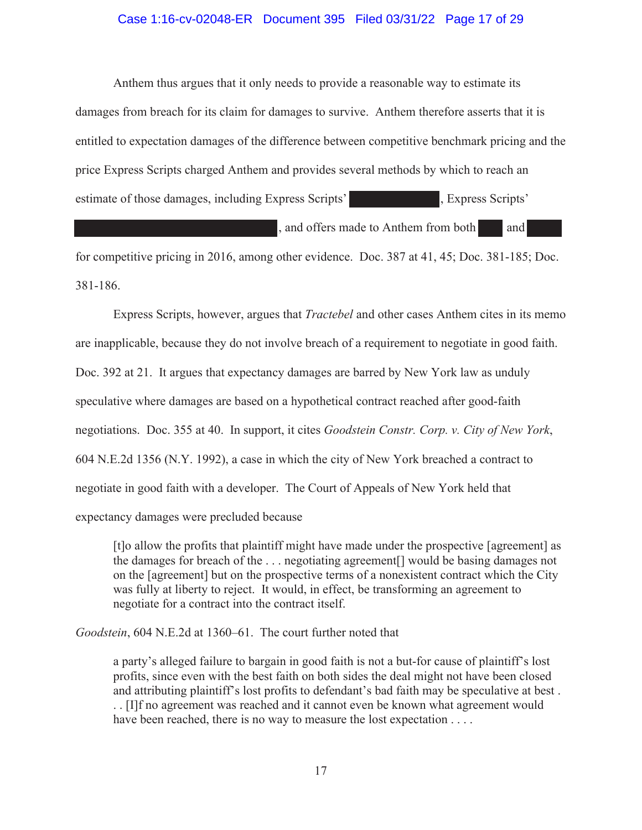### Case 1:16-cv-02048-ER Document 395 Filed 03/31/22 Page 17 of 29

Anthem thus argues that it only needs to provide a reasonable way to estimate its damages from breach for its claim for damages to survive. Anthem therefore asserts that it is entitled to expectation damages of the difference between competitive benchmark pricing and the price Express Scripts charged Anthem and provides several methods by which to reach an estimate of those damages, including Express Scripts' , Express Scripts'

, and offers made to Anthem from both and

for competitive pricing in 2016, among other evidence. Doc. 387 at 41, 45; Doc. 381-185; Doc. 381-186.

Express Scripts, however, argues that *Tractebel* and other cases Anthem cites in its memo are inapplicable, because they do not involve breach of a requirement to negotiate in good faith. Doc. 392 at 21. It argues that expectancy damages are barred by New York law as unduly speculative where damages are based on a hypothetical contract reached after good-faith negotiations. Doc. 355 at 40. In support, it cites *Goodstein Constr. Corp. v. City of New York*, 604 N.E.2d 1356 (N.Y. 1992), a case in which the city of New York breached a contract to negotiate in good faith with a developer. The Court of Appeals of New York held that expectancy damages were precluded because

[t]o allow the profits that plaintiff might have made under the prospective [agreement] as the damages for breach of the . . . negotiating agreement[] would be basing damages not on the [agreement] but on the prospective terms of a nonexistent contract which the City was fully at liberty to reject. It would, in effect, be transforming an agreement to negotiate for a contract into the contract itself.

*Goodstein*, 604 N.E.2d at 1360–61. The court further noted that

a party's alleged failure to bargain in good faith is not a but-for cause of plaintiff's lost profits, since even with the best faith on both sides the deal might not have been closed and attributing plaintiff's lost profits to defendant's bad faith may be speculative at best . . . [I]f no agreement was reached and it cannot even be known what agreement would have been reached, there is no way to measure the lost expectation . . . .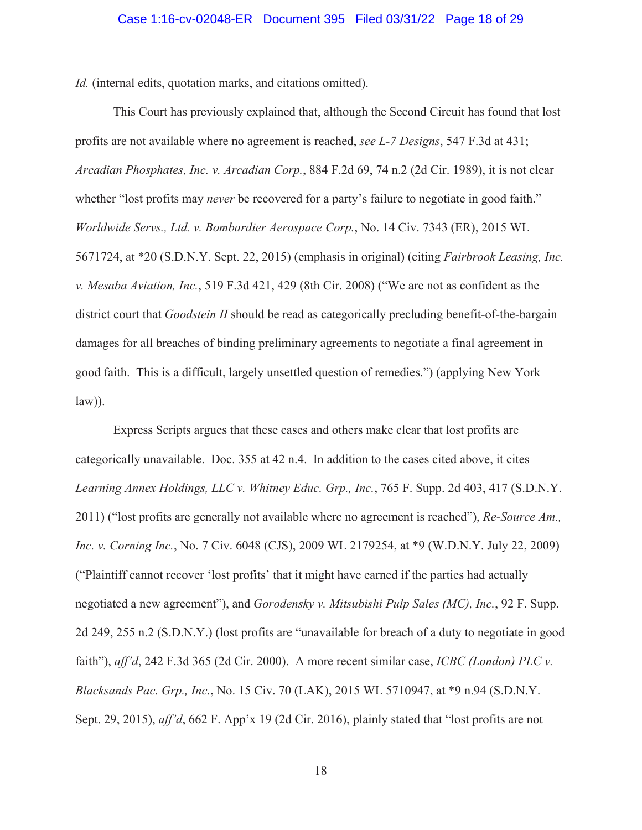*Id.* (internal edits, quotation marks, and citations omitted).

 This Court has previously explained that, although the Second Circuit has found that lost profits are not available where no agreement is reached, *see L-7 Designs*, 547 F.3d at 431; *Arcadian Phosphates, Inc. v. Arcadian Corp.*, 884 F.2d 69, 74 n.2 (2d Cir. 1989), it is not clear whether "lost profits may *never* be recovered for a party's failure to negotiate in good faith." *Worldwide Servs., Ltd. v. Bombardier Aerospace Corp.*, No. 14 Civ. 7343 (ER), 2015 WL 5671724, at \*20 (S.D.N.Y. Sept. 22, 2015) (emphasis in original) (citing *Fairbrook Leasing, Inc. v. Mesaba Aviation, Inc.*, 519 F.3d 421, 429 (8th Cir. 2008) ("We are not as confident as the district court that *Goodstein II* should be read as categorically precluding benefit-of-the-bargain damages for all breaches of binding preliminary agreements to negotiate a final agreement in good faith. This is a difficult, largely unsettled question of remedies.") (applying New York  $law)$ ).

Express Scripts argues that these cases and others make clear that lost profits are categorically unavailable. Doc. 355 at 42 n.4. In addition to the cases cited above, it cites *Learning Annex Holdings, LLC v. Whitney Educ. Grp., Inc.*, 765 F. Supp. 2d 403, 417 (S.D.N.Y. 2011) ("lost profits are generally not available where no agreement is reached"), *Re-Source Am., Inc. v. Corning Inc.*, No. 7 Civ. 6048 (CJS), 2009 WL 2179254, at \*9 (W.D.N.Y. July 22, 2009) ("Plaintiff cannot recover 'lost profits' that it might have earned if the parties had actually negotiated a new agreement"), and *Gorodensky v. Mitsubishi Pulp Sales (MC), Inc.*, 92 F. Supp. 2d 249, 255 n.2 (S.D.N.Y.) (lost profits are "unavailable for breach of a duty to negotiate in good faith"), *aff'd*, 242 F.3d 365 (2d Cir. 2000). A more recent similar case, *ICBC (London) PLC v. Blacksands Pac. Grp., Inc.*, No. 15 Civ. 70 (LAK), 2015 WL 5710947, at \*9 n.94 (S.D.N.Y. Sept. 29, 2015), *aff'd*, 662 F. App'x 19 (2d Cir. 2016), plainly stated that "lost profits are not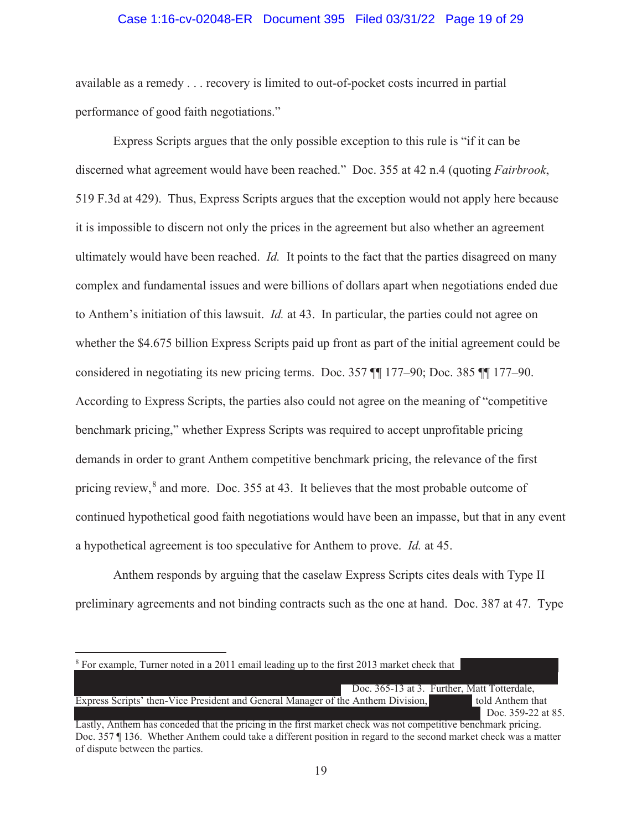### Case 1:16-cv-02048-ER Document 395 Filed 03/31/22 Page 19 of 29

available as a remedy . . . recovery is limited to out-of-pocket costs incurred in partial performance of good faith negotiations."

Express Scripts argues that the only possible exception to this rule is "if it can be discerned what agreement would have been reached." Doc. 355 at 42 n.4 (quoting *Fairbrook*, 519 F.3d at 429). Thus, Express Scripts argues that the exception would not apply here because it is impossible to discern not only the prices in the agreement but also whether an agreement ultimately would have been reached. *Id.* It points to the fact that the parties disagreed on many complex and fundamental issues and were billions of dollars apart when negotiations ended due to Anthem's initiation of this lawsuit. *Id.* at 43. In particular, the parties could not agree on whether the \$4.675 billion Express Scripts paid up front as part of the initial agreement could be considered in negotiating its new pricing terms. Doc. 357 ¶¶ 177–90; Doc. 385 ¶¶ 177–90. According to Express Scripts, the parties also could not agree on the meaning of "competitive benchmark pricing," whether Express Scripts was required to accept unprofitable pricing demands in order to grant Anthem competitive benchmark pricing, the relevance of the first pricing review, $8$  and more. Doc. 355 at 43. It believes that the most probable outcome of continued hypothetical good faith negotiations would have been an impasse, but that in any event a hypothetical agreement is too speculative for Anthem to prove. *Id.* at 45.

Anthem responds by arguing that the caselaw Express Scripts cites deals with Type II preliminary agreements and not binding contracts such as the one at hand. Doc. 387 at 47. Type

| <sup>8</sup> For example, Turner noted in a 2011 email leading up to the first 2013 market check that            |                    |
|------------------------------------------------------------------------------------------------------------------|--------------------|
|                                                                                                                  |                    |
| Doc. 365-13 at 3. Further, Matt Totterdale,                                                                      |                    |
| Express Scripts' then-Vice President and General Manager of the Anthem Division,                                 | told Anthem that   |
|                                                                                                                  | Doc. 359-22 at 85. |
| Lastly, Anthem has conceded that the pricing in the first market check was not competitive benchmark pricing.    |                    |
| Doc. 357 I 136. Whether Anthem could take a different position in regard to the second market check was a matter |                    |

Doc. 357 ¶ 136. Whether Anthem could take a different position in regard to the second market check was a matter of dispute between the parties.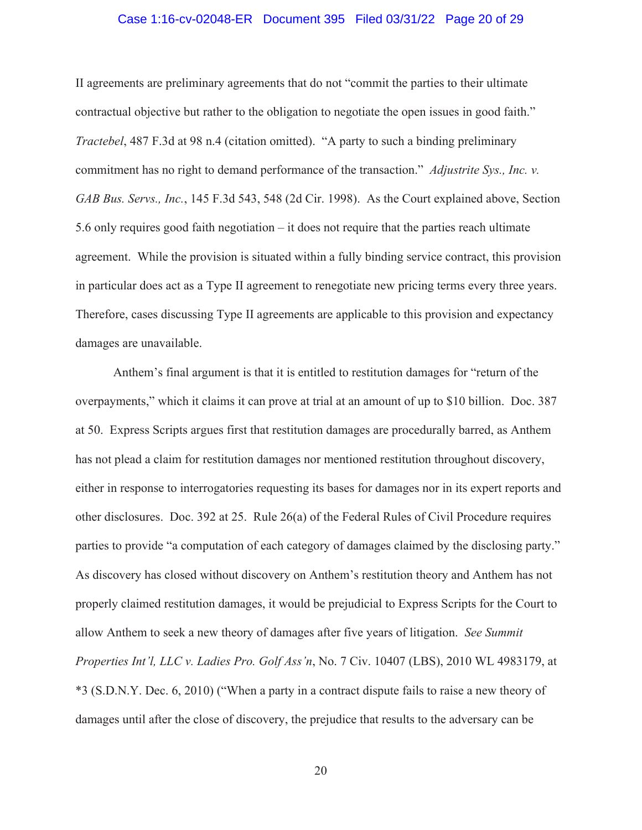#### Case 1:16-cv-02048-ER Document 395 Filed 03/31/22 Page 20 of 29

II agreements are preliminary agreements that do not "commit the parties to their ultimate contractual objective but rather to the obligation to negotiate the open issues in good faith." *Tractebel*, 487 F.3d at 98 n.4 (citation omitted). "A party to such a binding preliminary commitment has no right to demand performance of the transaction." *Adjustrite Sys., Inc. v. GAB Bus. Servs., Inc.*, 145 F.3d 543, 548 (2d Cir. 1998). As the Court explained above, Section 5.6 only requires good faith negotiation – it does not require that the parties reach ultimate agreement. While the provision is situated within a fully binding service contract, this provision in particular does act as a Type II agreement to renegotiate new pricing terms every three years. Therefore, cases discussing Type II agreements are applicable to this provision and expectancy damages are unavailable.

Anthem's final argument is that it is entitled to restitution damages for "return of the overpayments," which it claims it can prove at trial at an amount of up to \$10 billion. Doc. 387 at 50. Express Scripts argues first that restitution damages are procedurally barred, as Anthem has not plead a claim for restitution damages nor mentioned restitution throughout discovery, either in response to interrogatories requesting its bases for damages nor in its expert reports and other disclosures. Doc. 392 at 25. Rule 26(a) of the Federal Rules of Civil Procedure requires parties to provide "a computation of each category of damages claimed by the disclosing party." As discovery has closed without discovery on Anthem's restitution theory and Anthem has not properly claimed restitution damages, it would be prejudicial to Express Scripts for the Court to allow Anthem to seek a new theory of damages after five years of litigation. *See Summit Properties Int'l, LLC v. Ladies Pro. Golf Ass'n*, No. 7 Civ. 10407 (LBS), 2010 WL 4983179, at \*3 (S.D.N.Y. Dec. 6, 2010) ("When a party in a contract dispute fails to raise a new theory of damages until after the close of discovery, the prejudice that results to the adversary can be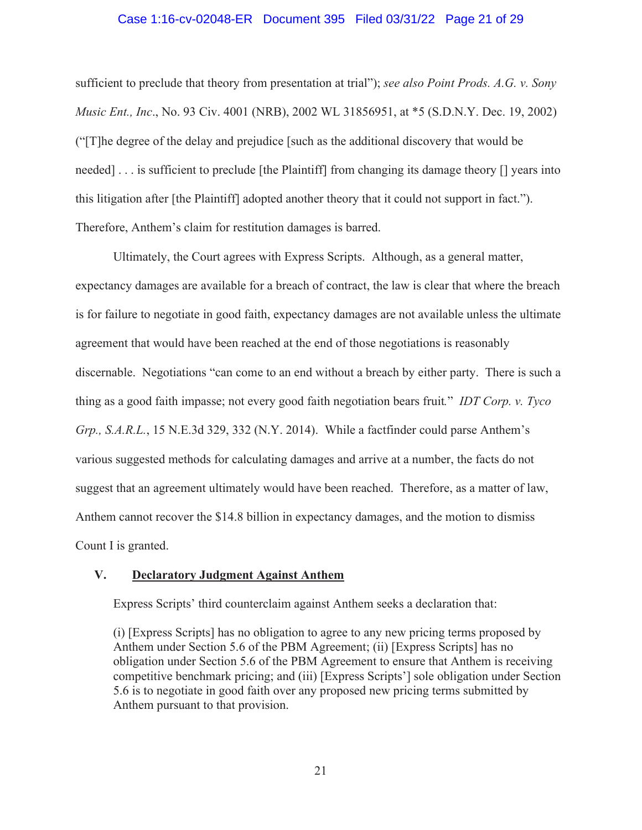#### Case 1:16-cv-02048-ER Document 395 Filed 03/31/22 Page 21 of 29

sufficient to preclude that theory from presentation at trial"); *see also Point Prods. A.G. v. Sony Music Ent., Inc*., No. 93 Civ. 4001 (NRB), 2002 WL 31856951, at \*5 (S.D.N.Y. Dec. 19, 2002) ("[T]he degree of the delay and prejudice [such as the additional discovery that would be needed] . . . is sufficient to preclude [the Plaintiff] from changing its damage theory [] years into this litigation after [the Plaintiff] adopted another theory that it could not support in fact."). Therefore, Anthem's claim for restitution damages is barred.

Ultimately, the Court agrees with Express Scripts. Although, as a general matter, expectancy damages are available for a breach of contract, the law is clear that where the breach is for failure to negotiate in good faith, expectancy damages are not available unless the ultimate agreement that would have been reached at the end of those negotiations is reasonably discernable. Negotiations "can come to an end without a breach by either party. There is such a thing as a good faith impasse; not every good faith negotiation bears fruit*.*" *IDT Corp. v. Tyco Grp., S.A.R.L.*, 15 N.E.3d 329, 332 (N.Y. 2014). While a factfinder could parse Anthem's various suggested methods for calculating damages and arrive at a number, the facts do not suggest that an agreement ultimately would have been reached. Therefore, as a matter of law, Anthem cannot recover the \$14.8 billion in expectancy damages, and the motion to dismiss Count I is granted.

### **V. Declaratory Judgment Against Anthem**

Express Scripts' third counterclaim against Anthem seeks a declaration that:

(i) [Express Scripts] has no obligation to agree to any new pricing terms proposed by Anthem under Section 5.6 of the PBM Agreement; (ii) [Express Scripts] has no obligation under Section 5.6 of the PBM Agreement to ensure that Anthem is receiving competitive benchmark pricing; and (iii) [Express Scripts'] sole obligation under Section 5.6 is to negotiate in good faith over any proposed new pricing terms submitted by Anthem pursuant to that provision.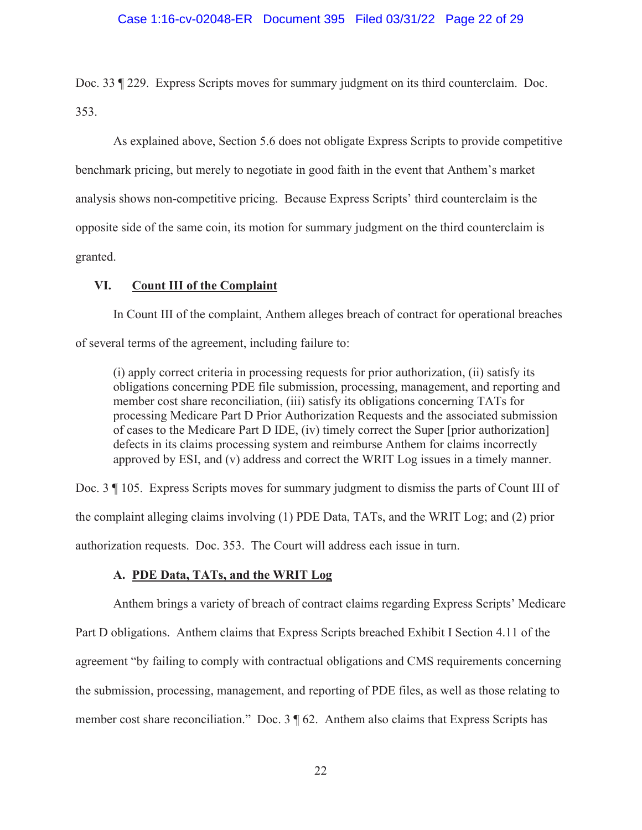## Case 1:16-cv-02048-ER Document 395 Filed 03/31/22 Page 22 of 29

Doc. 33 ¶ 229. Express Scripts moves for summary judgment on its third counterclaim. Doc. 353.

 As explained above, Section 5.6 does not obligate Express Scripts to provide competitive benchmark pricing, but merely to negotiate in good faith in the event that Anthem's market analysis shows non-competitive pricing. Because Express Scripts' third counterclaim is the opposite side of the same coin, its motion for summary judgment on the third counterclaim is granted.

## **VI. Count III of the Complaint**

In Count III of the complaint, Anthem alleges breach of contract for operational breaches of several terms of the agreement, including failure to:

(i) apply correct criteria in processing requests for prior authorization, (ii) satisfy its obligations concerning PDE file submission, processing, management, and reporting and member cost share reconciliation, (iii) satisfy its obligations concerning TATs for processing Medicare Part D Prior Authorization Requests and the associated submission of cases to the Medicare Part D IDE, (iv) timely correct the Super [prior authorization] defects in its claims processing system and reimburse Anthem for claims incorrectly approved by ESI, and (v) address and correct the WRIT Log issues in a timely manner.

Doc. 3 ¶ 105. Express Scripts moves for summary judgment to dismiss the parts of Count III of the complaint alleging claims involving (1) PDE Data, TATs, and the WRIT Log; and (2) prior authorization requests. Doc. 353. The Court will address each issue in turn.

## **A. PDE Data, TATs, and the WRIT Log**

Anthem brings a variety of breach of contract claims regarding Express Scripts' Medicare Part D obligations. Anthem claims that Express Scripts breached Exhibit I Section 4.11 of the agreement "by failing to comply with contractual obligations and CMS requirements concerning the submission, processing, management, and reporting of PDE files, as well as those relating to member cost share reconciliation." Doc. 3 ¶ 62. Anthem also claims that Express Scripts has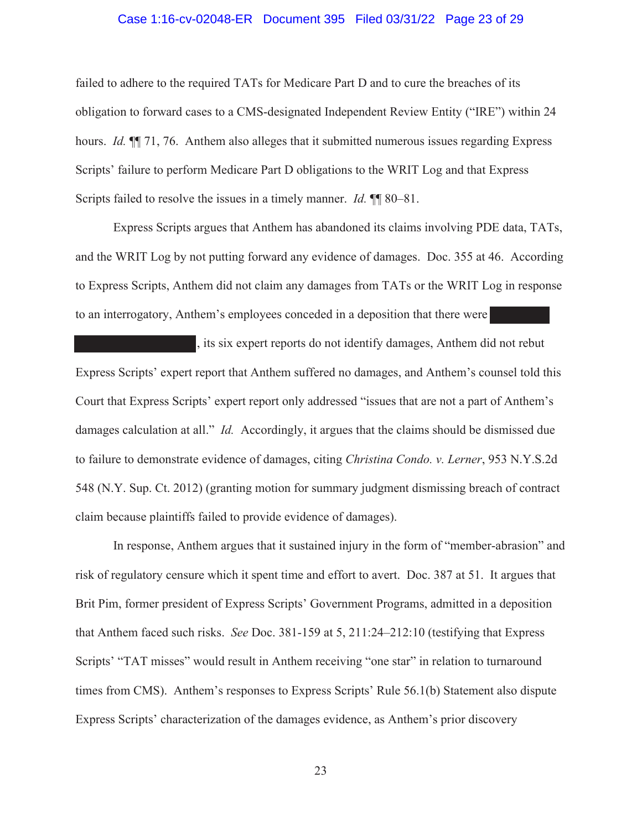#### Case 1:16-cv-02048-ER Document 395 Filed 03/31/22 Page 23 of 29

failed to adhere to the required TATs for Medicare Part D and to cure the breaches of its obligation to forward cases to a CMS-designated Independent Review Entity ("IRE") within 24 hours. *Id.* ¶¶ 71, 76. Anthem also alleges that it submitted numerous issues regarding Express Scripts' failure to perform Medicare Part D obligations to the WRIT Log and that Express Scripts failed to resolve the issues in a timely manner. *Id.* ¶¶ 80–81.

Express Scripts argues that Anthem has abandoned its claims involving PDE data, TATs, and the WRIT Log by not putting forward any evidence of damages. Doc. 355 at 46. According to Express Scripts, Anthem did not claim any damages from TATs or the WRIT Log in response to an interrogatory, Anthem's employees conceded in a deposition that there were

, its six expert reports do not identify damages, Anthem did not rebut Express Scripts' expert report that Anthem suffered no damages, and Anthem's counsel told this Court that Express Scripts' expert report only addressed "issues that are not a part of Anthem's damages calculation at all." *Id.* Accordingly, it argues that the claims should be dismissed due to failure to demonstrate evidence of damages, citing *Christina Condo. v. Lerner*, 953 N.Y.S.2d 548 (N.Y. Sup. Ct. 2012) (granting motion for summary judgment dismissing breach of contract claim because plaintiffs failed to provide evidence of damages).

In response, Anthem argues that it sustained injury in the form of "member-abrasion" and risk of regulatory censure which it spent time and effort to avert. Doc. 387 at 51. It argues that Brit Pim, former president of Express Scripts' Government Programs, admitted in a deposition that Anthem faced such risks. *See* Doc. 381-159 at 5, 211:24–212:10 (testifying that Express Scripts' "TAT misses" would result in Anthem receiving "one star" in relation to turnaround times from CMS). Anthem's responses to Express Scripts' Rule 56.1(b) Statement also dispute Express Scripts' characterization of the damages evidence, as Anthem's prior discovery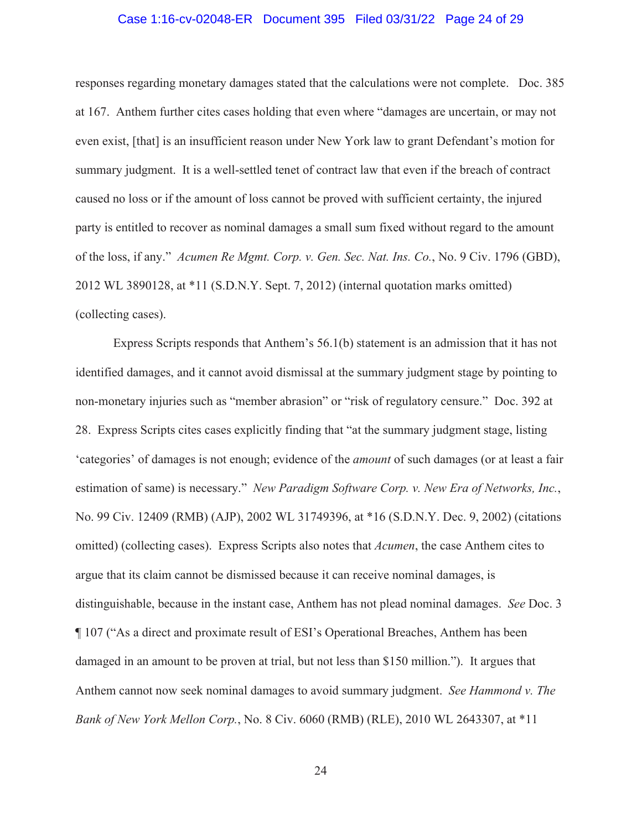#### Case 1:16-cv-02048-ER Document 395 Filed 03/31/22 Page 24 of 29

responses regarding monetary damages stated that the calculations were not complete. Doc. 385 at 167. Anthem further cites cases holding that even where "damages are uncertain, or may not even exist, [that] is an insufficient reason under New York law to grant Defendant's motion for summary judgment. It is a well-settled tenet of contract law that even if the breach of contract caused no loss or if the amount of loss cannot be proved with sufficient certainty, the injured party is entitled to recover as nominal damages a small sum fixed without regard to the amount of the loss, if any." *Acumen Re Mgmt. Corp. v. Gen. Sec. Nat. Ins. Co.*, No. 9 Civ. 1796 (GBD), 2012 WL 3890128, at \*11 (S.D.N.Y. Sept. 7, 2012) (internal quotation marks omitted) (collecting cases).

Express Scripts responds that Anthem's 56.1(b) statement is an admission that it has not identified damages, and it cannot avoid dismissal at the summary judgment stage by pointing to non-monetary injuries such as "member abrasion" or "risk of regulatory censure." Doc. 392 at 28. Express Scripts cites cases explicitly finding that "at the summary judgment stage, listing 'categories' of damages is not enough; evidence of the *amount* of such damages (or at least a fair estimation of same) is necessary." *New Paradigm Software Corp. v. New Era of Networks, Inc.*, No. 99 Civ. 12409 (RMB) (AJP), 2002 WL 31749396, at \*16 (S.D.N.Y. Dec. 9, 2002) (citations omitted) (collecting cases). Express Scripts also notes that *Acumen*, the case Anthem cites to argue that its claim cannot be dismissed because it can receive nominal damages, is distinguishable, because in the instant case, Anthem has not plead nominal damages. *See* Doc. 3 ¶ 107 ("As a direct and proximate result of ESI's Operational Breaches, Anthem has been damaged in an amount to be proven at trial, but not less than \$150 million."). It argues that Anthem cannot now seek nominal damages to avoid summary judgment. *See Hammond v. The Bank of New York Mellon Corp.*, No. 8 Civ. 6060 (RMB) (RLE), 2010 WL 2643307, at \*11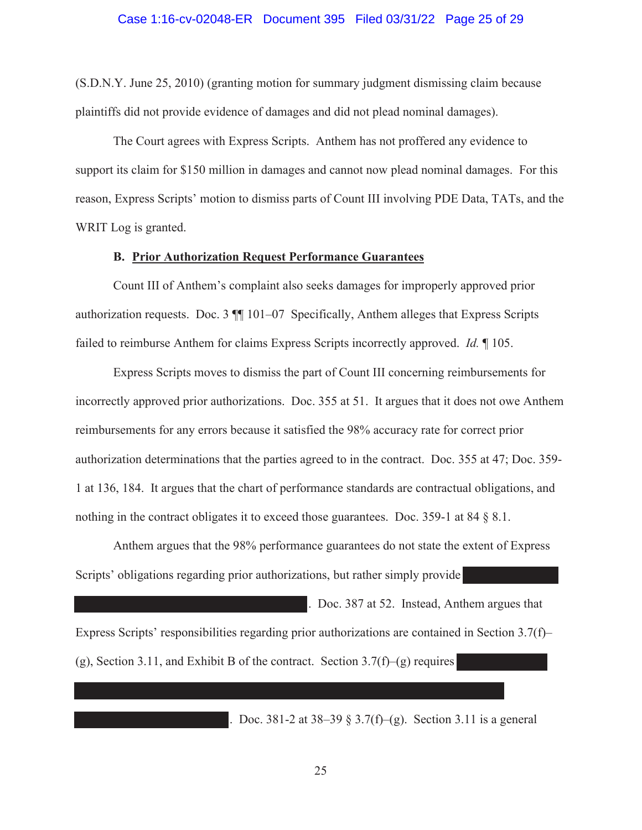(S.D.N.Y. June 25, 2010) (granting motion for summary judgment dismissing claim because plaintiffs did not provide evidence of damages and did not plead nominal damages).

The Court agrees with Express Scripts. Anthem has not proffered any evidence to support its claim for \$150 million in damages and cannot now plead nominal damages. For this reason, Express Scripts' motion to dismiss parts of Count III involving PDE Data, TATs, and the WRIT Log is granted.

### **B. Prior Authorization Request Performance Guarantees**

Count III of Anthem's complaint also seeks damages for improperly approved prior authorization requests. Doc. 3 ¶¶ 101–07 Specifically, Anthem alleges that Express Scripts failed to reimburse Anthem for claims Express Scripts incorrectly approved. *Id.* ¶ 105.

Express Scripts moves to dismiss the part of Count III concerning reimbursements for incorrectly approved prior authorizations. Doc. 355 at 51. It argues that it does not owe Anthem reimbursements for any errors because it satisfied the 98% accuracy rate for correct prior authorization determinations that the parties agreed to in the contract. Doc. 355 at 47; Doc. 359- 1 at 136, 184. It argues that the chart of performance standards are contractual obligations, and nothing in the contract obligates it to exceed those guarantees. Doc. 359-1 at 84 § 8.1.

Anthem argues that the 98% performance guarantees do not state the extent of Express Scripts' obligations regarding prior authorizations, but rather simply provide

. Doc. 387 at 52. Instead, Anthem argues that Express Scripts' responsibilities regarding prior authorizations are contained in Section 3.7(f)– (g), Section 3.11, and Exhibit B of the contract. Section  $3.7(f)$ –(g) requires

Doc. 381-2 at  $38-39 \t S \t 3.7(f)-(g)$ . Section 3.11 is a general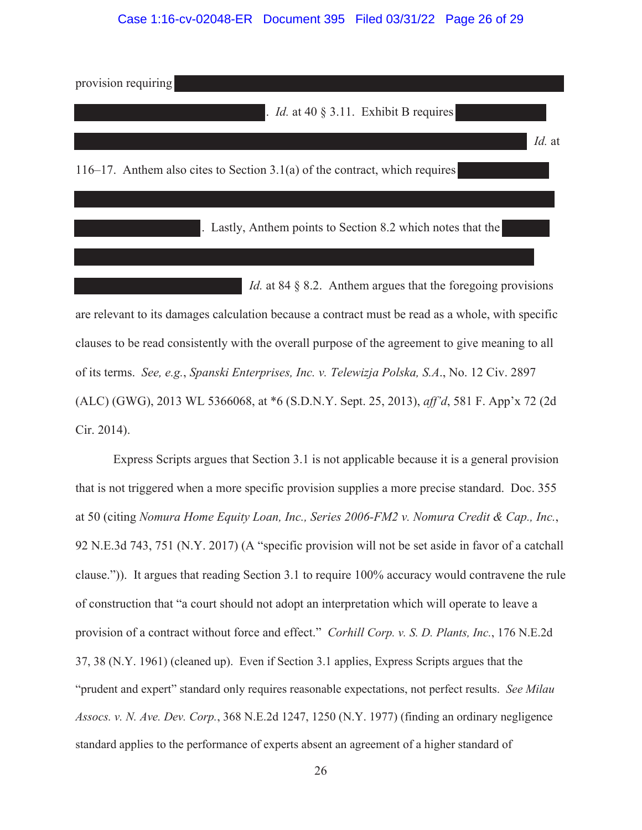#### Case 1:16-cv-02048-ER Document 395 Filed 03/31/22 Page 26 of 29

| provision requiring                                                         |        |
|-----------------------------------------------------------------------------|--------|
| $ $ . <i>Id.</i> at 40 § 3.11. Exhibit B requires                           |        |
|                                                                             | Id. at |
| 116–17. Anthem also cites to Section 3.1(a) of the contract, which requires |        |
|                                                                             |        |
| . Lastly, Anthem points to Section 8.2 which notes that the                 |        |
|                                                                             |        |

*Id.* at 84 § 8.2. Anthem argues that the foregoing provisions are relevant to its damages calculation because a contract must be read as a whole, with specific clauses to be read consistently with the overall purpose of the agreement to give meaning to all of its terms. *See, e.g.*, *Spanski Enterprises, Inc. v. Telewizja Polska, S.A*., No. 12 Civ. 2897 (ALC) (GWG), 2013 WL 5366068, at \*6 (S.D.N.Y. Sept. 25, 2013), *aff'd*, 581 F. App'x 72 (2d Cir. 2014).

Express Scripts argues that Section 3.1 is not applicable because it is a general provision that is not triggered when a more specific provision supplies a more precise standard. Doc. 355 at 50 (citing *Nomura Home Equity Loan, Inc., Series 2006-FM2 v. Nomura Credit & Cap., Inc.*, 92 N.E.3d 743, 751 (N.Y. 2017) (A "specific provision will not be set aside in favor of a catchall clause.")). It argues that reading Section 3.1 to require 100% accuracy would contravene the rule of construction that "a court should not adopt an interpretation which will operate to leave a provision of a contract without force and effect." *Corhill Corp. v. S. D. Plants, Inc.*, 176 N.E.2d 37, 38 (N.Y. 1961) (cleaned up). Even if Section 3.1 applies, Express Scripts argues that the "prudent and expert" standard only requires reasonable expectations, not perfect results. *See Milau Assocs. v. N. Ave. Dev. Corp.*, 368 N.E.2d 1247, 1250 (N.Y. 1977) (finding an ordinary negligence standard applies to the performance of experts absent an agreement of a higher standard of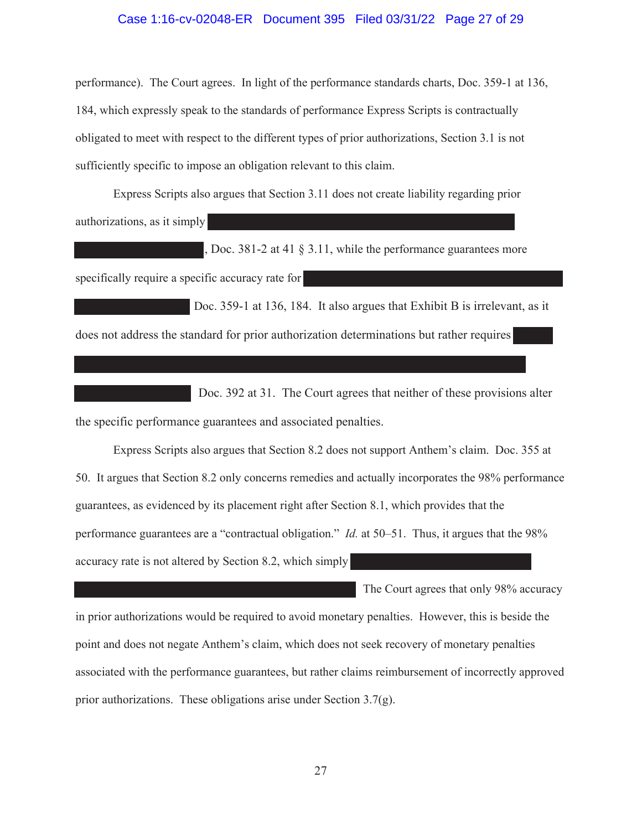#### Case 1:16-cv-02048-ER Document 395 Filed 03/31/22 Page 27 of 29

performance). The Court agrees. In light of the performance standards charts, Doc. 359-1 at 136, 184, which expressly speak to the standards of performance Express Scripts is contractually obligated to meet with respect to the different types of prior authorizations, Section 3.1 is not sufficiently specific to impose an obligation relevant to this claim.

Express Scripts also argues that Section 3.11 does not create liability regarding prior authorizations, as it simply

, Doc. 381-2 at 41 § 3.11, while the performance guarantees more

specifically require a specific accuracy rate for

Doc. 359-1 at 136, 184. It also argues that Exhibit B is irrelevant, as it does not address the standard for prior authorization determinations but rather requires

 Doc. 392 at 31. The Court agrees that neither of these provisions alter the specific performance guarantees and associated penalties.

Express Scripts also argues that Section 8.2 does not support Anthem's claim. Doc. 355 at 50. It argues that Section 8.2 only concerns remedies and actually incorporates the 98% performance guarantees, as evidenced by its placement right after Section 8.1, which provides that the performance guarantees are a "contractual obligation." *Id.* at 50–51. Thus, it argues that the 98% accuracy rate is not altered by Section 8.2, which simply

in prior authorizations would be required to avoid monetary penalties. However, this is beside the point and does not negate Anthem's claim, which does not seek recovery of monetary penalties associated with the performance guarantees, but rather claims reimbursement of incorrectly approved prior authorizations. These obligations arise under Section 3.7(g).

The Court agrees that only 98% accuracy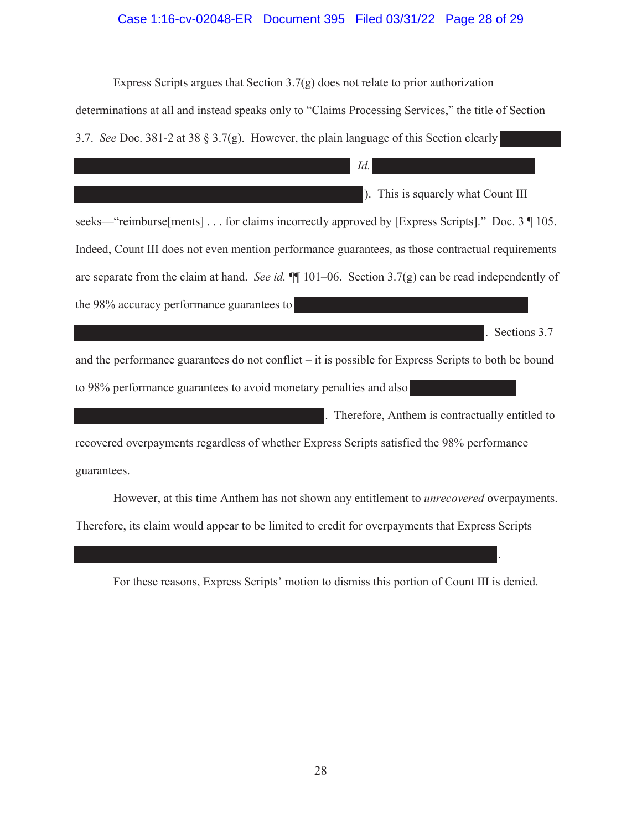## Case 1:16-cv-02048-ER Document 395 Filed 03/31/22 Page 28 of 29

Express Scripts argues that Section  $3.7(g)$  does not relate to prior authorization determinations at all and instead speaks only to "Claims Processing Services," the title of Section 3.7. *See* Doc. 381-2 at 38 § 3.7(g). However, the plain language of this Section clearly *Id.* ). This is squarely what Count III seeks—"reimburse[ments] . . . for claims incorrectly approved by [Express Scripts]." Doc. 3 ¶ 105. Indeed, Count III does not even mention performance guarantees, as those contractual requirements are separate from the claim at hand. *See id.* ¶¶ 101–06. Section 3.7(g) can be read independently of the 98% accuracy performance guarantees to Sections 3.7 and the performance guarantees do not conflict – it is possible for Express Scripts to both be bound to 98% performance guarantees to avoid monetary penalties and also . Therefore, Anthem is contractually entitled to recovered overpayments regardless of whether Express Scripts satisfied the 98% performance guarantees. However, at this time Anthem has not shown any entitlement to *unrecovered* overpayments. Therefore, its claim would appear to be limited to credit for overpayments that Express Scripts .

For these reasons, Express Scripts' motion to dismiss this portion of Count III is denied.